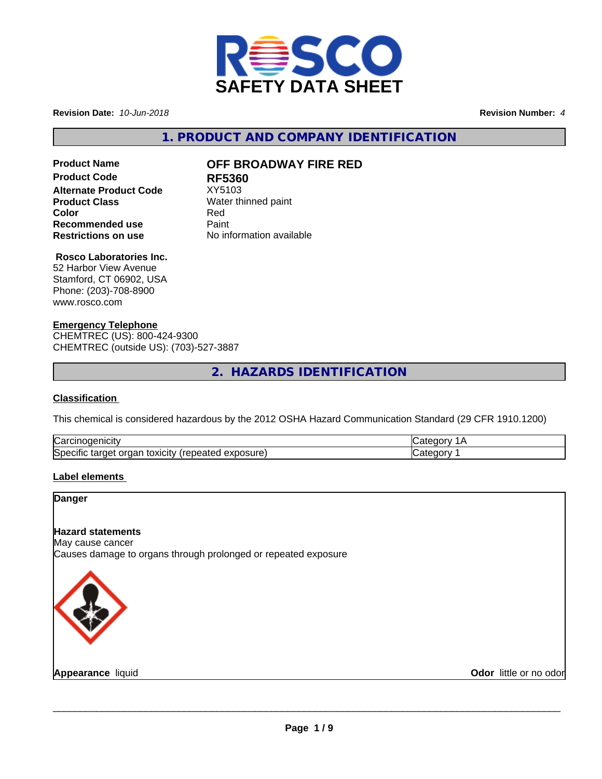

**Revision Date:** *10-Jun-2018* **Revision Number:** *4*

**1. PRODUCT AND COMPANY IDENTIFICATION**

# **Product Code 61 RF5360**<br>**Alternate Product Code** XY5103 **Alternate Product Code**<br>Product Class **Recommended use** Paint<br> **Restrictions on use** No inf

# **Product Name OFF BROADWAY FIRE RED**

**Water thinned paint Color** Red **No information available** 

# **Rosco Laboratories Inc.**

52 Harbor View Avenue Stamford, CT 06902, USA Phone: (203)-708-8900 www.rosco.com

#### **Emergency Telephone**

CHEMTREC (US): 800-424-9300 CHEMTREC (outside US): (703)-527-3887

**2. HAZARDS IDENTIFICATION**

#### **Classification**

This chemical is considered hazardous by the 2012 OSHA Hazard Communication Standard (29 CFR 1910.1200)

| ∽<br>$\sim$ $\sim$ $\sim$ $\sim$<br>∴ar س<br>                                |  |
|------------------------------------------------------------------------------|--|
| osure<br>. .<br>.<br>τοχιςιτν<br>50er<br>arner -<br>аа<br>ши<br>5alcu<br>じハリ |  |

#### **Label elements**

#### **Danger**

#### **Hazard statements**

May cause cancer Causes damage to organs through prolonged or repeated exposure



**Appearance** liquid **Odor** little or no odor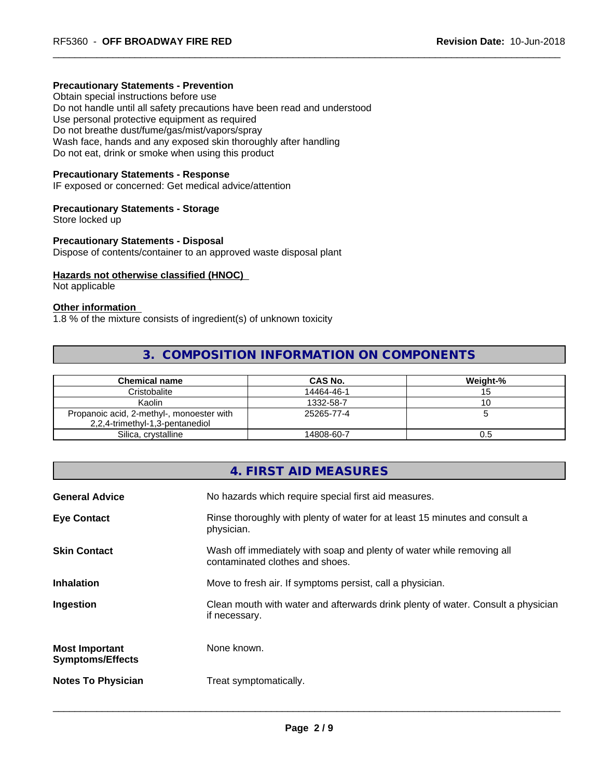#### **Precautionary Statements - Prevention**

Obtain special instructions before use Do not handle until all safety precautions have been read and understood Use personal protective equipment as required Do not breathe dust/fume/gas/mist/vapors/spray Wash face, hands and any exposed skin thoroughly after handling Do not eat, drink or smoke when using this product

#### **Precautionary Statements - Response**

IF exposed or concerned: Get medical advice/attention

#### **Precautionary Statements - Storage**

Store locked up

#### **Precautionary Statements - Disposal**

Dispose of contents/container to an approved waste disposal plant

#### **Hazards not otherwise classified (HNOC)**

Not applicable

#### **Other information**

1.8 % of the mixture consists of ingredient(s) of unknown toxicity

# **3. COMPOSITION INFORMATION ON COMPONENTS**

| <b>Chemical name</b>                      | CAS No.    | Weight-% |
|-------------------------------------------|------------|----------|
| Cristobalite                              | 14464-46-1 |          |
| Kaolin                                    | 1332-58-7  |          |
| Propanoic acid, 2-methyl-, monoester with | 25265-77-4 |          |
| 2,2,4-trimethyl-1,3-pentanediol           |            |          |
| Silica, crystalline                       | 14808-60-7 | 0.5      |

# **4. FIRST AID MEASURES**

| <b>General Advice</b>                            | No hazards which require special first aid measures.                                                     |
|--------------------------------------------------|----------------------------------------------------------------------------------------------------------|
| <b>Eye Contact</b>                               | Rinse thoroughly with plenty of water for at least 15 minutes and consult a<br>physician.                |
| <b>Skin Contact</b>                              | Wash off immediately with soap and plenty of water while removing all<br>contaminated clothes and shoes. |
| <b>Inhalation</b>                                | Move to fresh air. If symptoms persist, call a physician.                                                |
| Ingestion                                        | Clean mouth with water and afterwards drink plenty of water. Consult a physician<br>if necessary.        |
| <b>Most Important</b><br><b>Symptoms/Effects</b> | None known.                                                                                              |
| <b>Notes To Physician</b>                        | Treat symptomatically.                                                                                   |
|                                                  |                                                                                                          |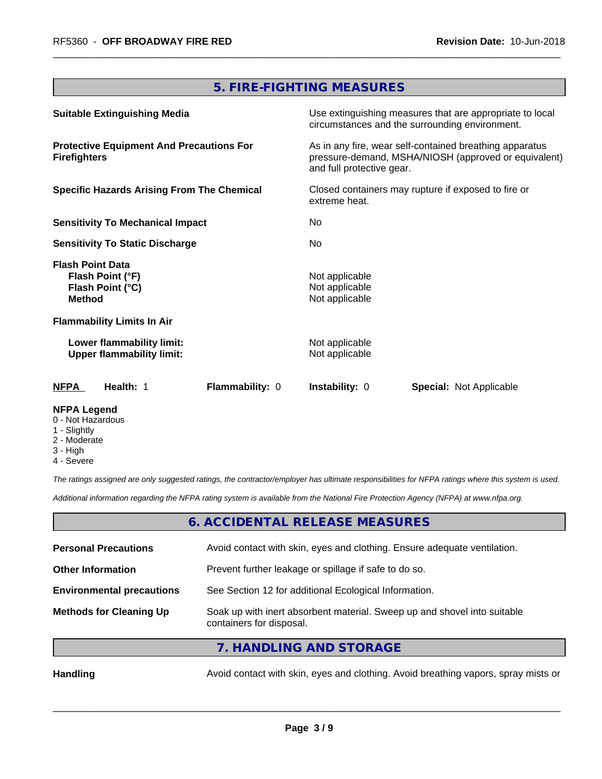# **5. FIRE-FIGHTING MEASURES**

| <b>Suitable Extinguishing Media</b><br><b>Protective Equipment And Precautions For</b><br><b>Firefighters</b><br><b>Specific Hazards Arising From The Chemical</b><br><b>Sensitivity To Mechanical Impact</b><br><b>Sensitivity To Static Discharge</b> |                 | Use extinguishing measures that are appropriate to local<br>circumstances and the surrounding environment.                                   |                                |                                                                                  |
|---------------------------------------------------------------------------------------------------------------------------------------------------------------------------------------------------------------------------------------------------------|-----------------|----------------------------------------------------------------------------------------------------------------------------------------------|--------------------------------|----------------------------------------------------------------------------------|
|                                                                                                                                                                                                                                                         |                 | As in any fire, wear self-contained breathing apparatus<br>pressure-demand, MSHA/NIOSH (approved or equivalent)<br>and full protective gear. |                                |                                                                                  |
|                                                                                                                                                                                                                                                         |                 | Closed containers may rupture if exposed to fire or<br>extreme heat.                                                                         |                                |                                                                                  |
|                                                                                                                                                                                                                                                         |                 | No.<br>No.                                                                                                                                   |                                |                                                                                  |
|                                                                                                                                                                                                                                                         |                 |                                                                                                                                              |                                | <b>Flash Point Data</b><br>Flash Point (°F)<br>Flash Point (°C)<br><b>Method</b> |
| <b>Flammability Limits In Air</b>                                                                                                                                                                                                                       |                 |                                                                                                                                              |                                |                                                                                  |
| Lower flammability limit:<br><b>Upper flammability limit:</b>                                                                                                                                                                                           |                 | Not applicable<br>Not applicable                                                                                                             |                                |                                                                                  |
| Health: 1<br><b>NFPA</b>                                                                                                                                                                                                                                | Flammability: 0 | <b>Instability: 0</b>                                                                                                                        | <b>Special: Not Applicable</b> |                                                                                  |
| <b>NFPA Legend</b>                                                                                                                                                                                                                                      |                 |                                                                                                                                              |                                |                                                                                  |

- 0 Not Hazardous
- 1 Slightly
- 2 Moderate
- 3 High
- 4 Severe

*The ratings assigned are only suggested ratings, the contractor/employer has ultimate responsibilities for NFPA ratings where this system is used.*

*Additional information regarding the NFPA rating system is available from the National Fire Protection Agency (NFPA) at www.nfpa.org.*

## **6. ACCIDENTAL RELEASE MEASURES**

| <b>Personal Precautions</b>      | Avoid contact with skin, eyes and clothing. Ensure adequate ventilation.                             |
|----------------------------------|------------------------------------------------------------------------------------------------------|
| <b>Other Information</b>         | Prevent further leakage or spillage if safe to do so.                                                |
| <b>Environmental precautions</b> | See Section 12 for additional Ecological Information.                                                |
| <b>Methods for Cleaning Up</b>   | Soak up with inert absorbent material. Sweep up and shovel into suitable<br>containers for disposal. |

## **7. HANDLING AND STORAGE**

Handling **Handling** Avoid contact with skin, eyes and clothing. Avoid breathing vapors, spray mists or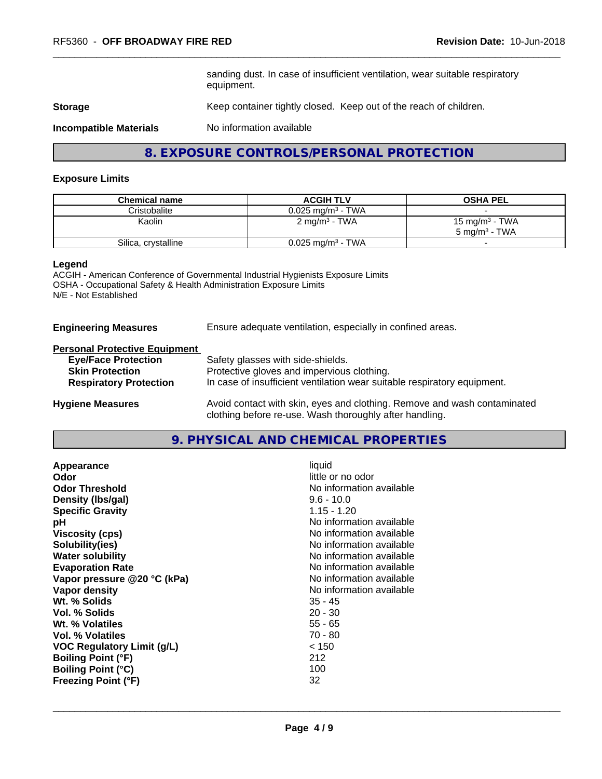sanding dust. In case of insufficient ventilation, wear suitable respiratory equipment.

**Storage** Keep container tightly closed. Keep out of the reach of children.

**Incompatible Materials** No information available

**8. EXPOSURE CONTROLS/PERSONAL PROTECTION**

#### **Exposure Limits**

| <b>Chemical name</b> | <b>ACGIH TLV</b>                | <b>OSHA PEL</b>                                        |
|----------------------|---------------------------------|--------------------------------------------------------|
| Cristobalite         | $0.025$ mg/m $^3$ - TWA         |                                                        |
| Kaolin               | 2 mg/m <sup>3</sup> - TWA       | 15 mg/m <sup>3</sup> - TWA<br>$5 \text{ ma/m}^3$ - TWA |
| Silica, crystalline  | $0.025$ mg/m <sup>3</sup> - TWA |                                                        |

#### **Legend**

ACGIH - American Conference of Governmental Industrial Hygienists Exposure Limits OSHA - Occupational Safety & Health Administration Exposure Limits N/E - Not Established

**Engineering Measures** Ensure adequate ventilation, especially in confined areas.

#### **Personal Protective Equipment**

| <b>Eye/Face Protection</b>    | Safety glasses with side-shields.                                                                                                   |
|-------------------------------|-------------------------------------------------------------------------------------------------------------------------------------|
| <b>Skin Protection</b>        | Protective gloves and impervious clothing.                                                                                          |
| <b>Respiratory Protection</b> | In case of insufficient ventilation wear suitable respiratory equipment.                                                            |
| <b>Hygiene Measures</b>       | Avoid contact with skin, eyes and clothing. Remove and wash contaminated<br>clothing before re-use. Wash thoroughly after handling. |

**9. PHYSICAL AND CHEMICAL PROPERTIES**

| Appearance                  | liquid                   |
|-----------------------------|--------------------------|
| Odor                        | little or no odor        |
| <b>Odor Threshold</b>       | No information available |
| Density (Ibs/gal)           | $9.6 - 10.0$             |
| <b>Specific Gravity</b>     | $1.15 - 1.20$            |
| рH                          | No information available |
| <b>Viscosity (cps)</b>      | No information available |
| Solubility(ies)             | No information available |
| <b>Water solubility</b>     | No information available |
| <b>Evaporation Rate</b>     | No information available |
| Vapor pressure @20 °C (kPa) | No information available |
| Vapor density               | No information available |
| Wt. % Solids                | $35 - 45$                |
| Vol. % Solids               | $20 - 30$                |
| Wt. % Volatiles             | $55 - 65$                |
| Vol. % Volatiles            | $70 - 80$                |
| VOC Regulatory Limit (g/L)  | < 150                    |
| <b>Boiling Point (°F)</b>   | 212                      |
| <b>Boiling Point (°C)</b>   | 100                      |
| <b>Freezing Point (°F)</b>  | 32                       |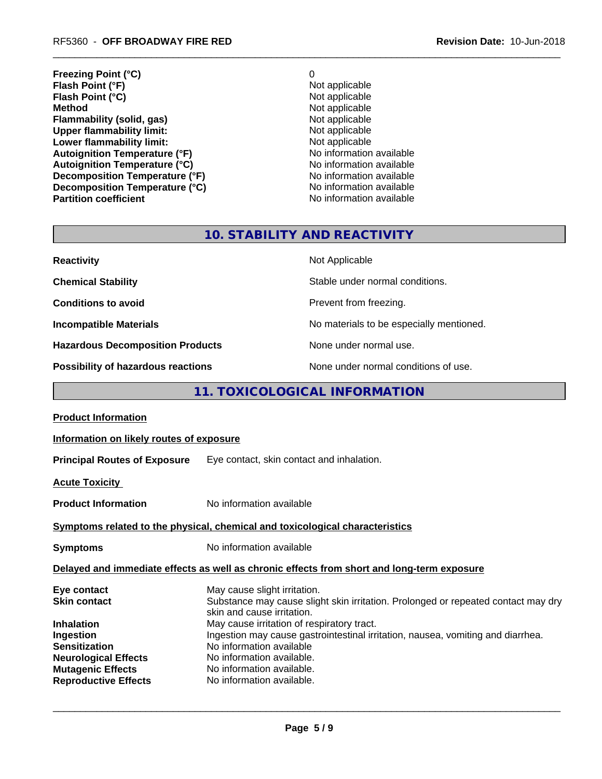**Freezing Point (°C)** 0 **Flash Point (°F)**<br> **Flash Point (°C)**<br> **Flash Point (°C)**<br> **C** Not applicable **Flash Point (°C)**<br>Method **Flammability (solid, gas)**<br> **Commability limit:**<br>
Upper flammability limit:<br>
Not applicable **Upper flammability limit:**<br> **Lower flammability limit:**<br>
Not applicable<br>
Not applicable **Lower flammability limit:**<br> **Autoignition Temperature (°F)**<br>
Mo information available Autoignition Temperature (°F)<br>
Autoignition Temperature (°C)<br>
No information available **Autoignition Temperature (°C)**<br> **Decomposition Temperature (°F)** No information available **Decomposition Temperature (°F) Decomposition Temperature (°C)** No information available

**Not applicable**<br>Not applicable **No information available** 

# **10. STABILITY AND REACTIVITY**

| <b>Reactivity</b>                       | Not Applicable                           |
|-----------------------------------------|------------------------------------------|
| <b>Chemical Stability</b>               | Stable under normal conditions.          |
| <b>Conditions to avoid</b>              | Prevent from freezing.                   |
| <b>Incompatible Materials</b>           | No materials to be especially mentioned. |
| <b>Hazardous Decomposition Products</b> | None under normal use.                   |
| Possibility of hazardous reactions      | None under normal conditions of use.     |

# **11. TOXICOLOGICAL INFORMATION**

| <b>Product Information</b>                                                                                           |                                                                                                                                                                                                    |
|----------------------------------------------------------------------------------------------------------------------|----------------------------------------------------------------------------------------------------------------------------------------------------------------------------------------------------|
| Information on likely routes of exposure                                                                             |                                                                                                                                                                                                    |
|                                                                                                                      | <b>Principal Routes of Exposure</b> Eye contact, skin contact and inhalation.                                                                                                                      |
| <b>Acute Toxicity</b>                                                                                                |                                                                                                                                                                                                    |
| <b>Product Information</b>                                                                                           | No information available                                                                                                                                                                           |
|                                                                                                                      | Symptoms related to the physical, chemical and toxicological characteristics                                                                                                                       |
| <b>Symptoms</b>                                                                                                      | No information available                                                                                                                                                                           |
|                                                                                                                      | Delayed and immediate effects as well as chronic effects from short and long-term exposure                                                                                                         |
| Eye contact<br>Skin contact<br>Inhalation                                                                            | May cause slight irritation.<br>Substance may cause slight skin irritation. Prolonged or repeated contact may dry<br>skin and cause irritation.<br>May cause irritation of respiratory tract.      |
| Ingestion<br>Sensitization<br><b>Neurological Effects</b><br><b>Mutagenic Effects</b><br><b>Reproductive Effects</b> | Ingestion may cause gastrointestinal irritation, nausea, vomiting and diarrhea.<br>No information available<br>No information available.<br>No information available.<br>No information available. |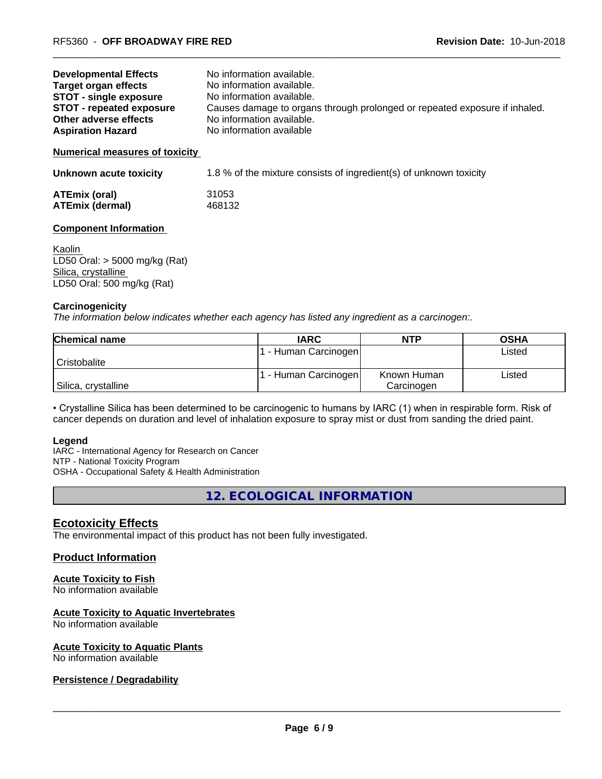| <b>Developmental Effects</b>    | No information available.                                                  |
|---------------------------------|----------------------------------------------------------------------------|
| <b>Target organ effects</b>     | No information available.                                                  |
| <b>STOT - single exposure</b>   | No information available.                                                  |
| <b>STOT - repeated exposure</b> | Causes damage to organs through prolonged or repeated exposure if inhaled. |
| Other adverse effects           | No information available.                                                  |
| <b>Aspiration Hazard</b>        | No information available                                                   |
|                                 |                                                                            |

#### **Numerical measures of toxicity**

| Unknown acute toxicity | 1.8 % of the mixture consists of ingredient(s) of unknown toxicity |
|------------------------|--------------------------------------------------------------------|
|                        |                                                                    |

| <b>ATEmix (oral)</b>   | 31053  |
|------------------------|--------|
| <b>ATEmix (dermal)</b> | 468132 |

#### **Component Information**

Kaolin LD50 Oral: > 5000 mg/kg (Rat) Silica, crystalline LD50 Oral: 500 mg/kg (Rat)

#### **Carcinogenicity**

*The information below indicateswhether each agency has listed any ingredient as a carcinogen:.*

| <b>Chemical name</b> | <b>IARC</b>        | <b>NTP</b>  | <b>OSHA</b> |
|----------------------|--------------------|-------------|-------------|
|                      | - Human Carcinogen |             | Listed      |
| Cristobalite         |                    |             |             |
|                      | - Human Carcinogen | Known Human | Listed      |
| Silica, crystalline  |                    | Carcinogen  |             |

• Crystalline Silica has been determined to be carcinogenic to humans by IARC (1) when in respirable form. Risk of cancer depends on duration and level of inhalation exposure to spray mist or dust from sanding the dried paint.

#### **Legend**

IARC - International Agency for Research on Cancer NTP - National Toxicity Program OSHA - Occupational Safety & Health Administration

**12. ECOLOGICAL INFORMATION**

#### **Ecotoxicity Effects**

The environmental impact of this product has not been fully investigated.

#### **Product Information**

## **Acute Toxicity to Fish**

No information available

#### **Acute Toxicity to Aquatic Invertebrates**

No information available

#### **Acute Toxicity to Aquatic Plants**

No information available

#### **Persistence / Degradability**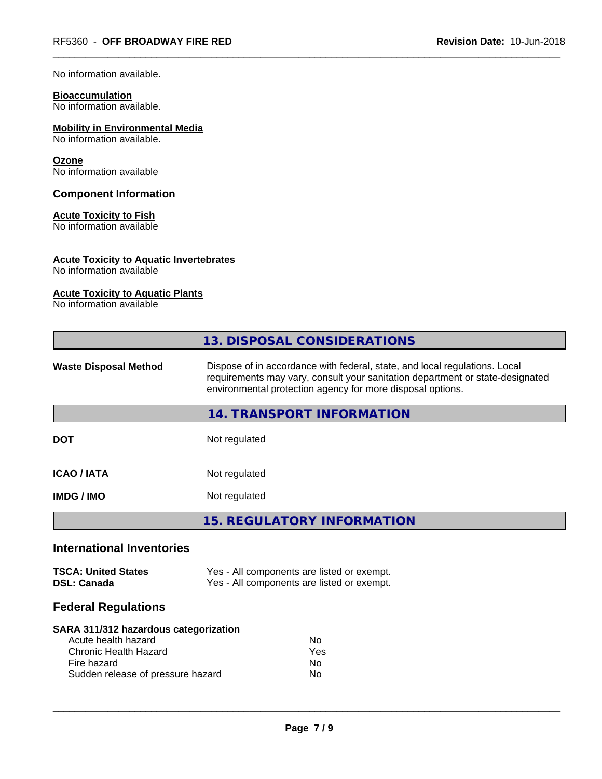No information available.

# **Bioaccumulation**

No information available.

# **Mobility in Environmental Media**

No information available.

#### **Ozone**

No information available

#### **Component Information**

#### **Acute Toxicity to Fish**

No information available

### **Acute Toxicity to Aquatic Invertebrates**

No information available

#### **Acute Toxicity to Aquatic Plants**

No information available

|                                                                                                                                                  | 13. DISPOSAL CONSIDERATIONS                                                                                                                                                                                               |  |  |
|--------------------------------------------------------------------------------------------------------------------------------------------------|---------------------------------------------------------------------------------------------------------------------------------------------------------------------------------------------------------------------------|--|--|
| <b>Waste Disposal Method</b>                                                                                                                     | Dispose of in accordance with federal, state, and local regulations. Local<br>requirements may vary, consult your sanitation department or state-designated<br>environmental protection agency for more disposal options. |  |  |
|                                                                                                                                                  | 14. TRANSPORT INFORMATION                                                                                                                                                                                                 |  |  |
| <b>DOT</b>                                                                                                                                       | Not regulated                                                                                                                                                                                                             |  |  |
| <b>ICAO/IATA</b>                                                                                                                                 | Not regulated                                                                                                                                                                                                             |  |  |
| <b>IMDG/IMO</b>                                                                                                                                  | Not regulated                                                                                                                                                                                                             |  |  |
|                                                                                                                                                  | <b>15. REGULATORY INFORMATION</b>                                                                                                                                                                                         |  |  |
| <b>International Inventories</b>                                                                                                                 |                                                                                                                                                                                                                           |  |  |
| <b>TSCA: United States</b><br><b>DSL: Canada</b>                                                                                                 | Yes - All components are listed or exempt.<br>Yes - All components are listed or exempt.                                                                                                                                  |  |  |
| <b>Federal Regulations</b>                                                                                                                       |                                                                                                                                                                                                                           |  |  |
| SARA 311/312 hazardous categorization<br>Acute health hazard<br><b>Chronic Health Hazard</b><br>Fire hazard<br>Sudden release of pressure hazard | N <sub>o</sub><br>Yes<br>No.<br>No                                                                                                                                                                                        |  |  |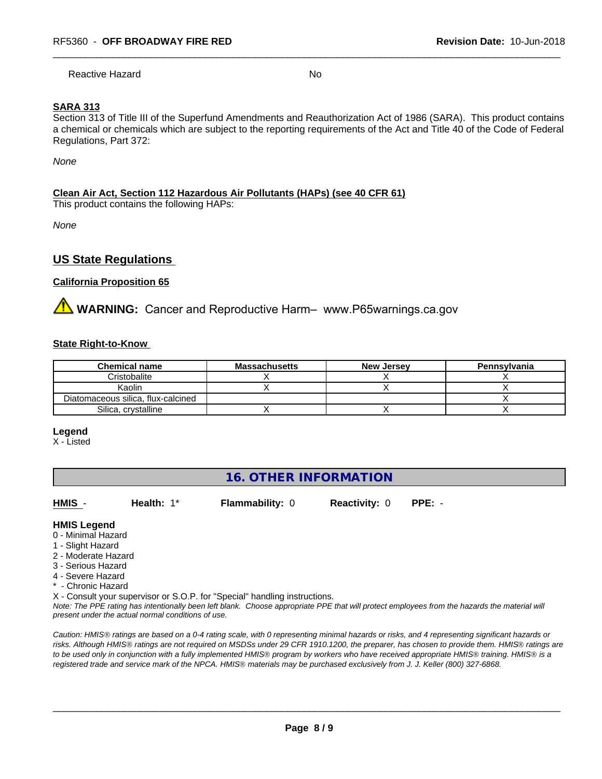Reactive Hazard No

## **SARA 313**

Section 313 of Title III of the Superfund Amendments and Reauthorization Act of 1986 (SARA). This product contains a chemical or chemicals which are subject to the reporting requirements of the Act and Title 40 of the Code of Federal Regulations, Part 372:

*None*

#### **Clean Air Act,Section 112 Hazardous Air Pollutants (HAPs) (see 40 CFR 61)**

This product contains the following HAPs:

*None*

# **US State Regulations**

#### **California Proposition 65**

**AVIMARNING:** Cancer and Reproductive Harm– www.P65warnings.ca.gov

#### **State Right-to-Know**

| <b>Chemical name</b>               | <b>Massachusetts</b> | <b>New Jersey</b> | Pennsylvania |
|------------------------------------|----------------------|-------------------|--------------|
| Cristobalite                       |                      |                   |              |
| Kaolin                             |                      |                   |              |
| Diatomaceous silica, flux-calcined |                      |                   |              |
| Silica, crystalline                |                      |                   |              |

#### **Legend**

X - Listed

# **16. OTHER INFORMATION**

**HMIS** - **Health:** 1\* **Flammability:** 0 **Reactivity:** 0 **PPE:** -

 $\overline{\phantom{a}}$  ,  $\overline{\phantom{a}}$  ,  $\overline{\phantom{a}}$  ,  $\overline{\phantom{a}}$  ,  $\overline{\phantom{a}}$  ,  $\overline{\phantom{a}}$  ,  $\overline{\phantom{a}}$  ,  $\overline{\phantom{a}}$  ,  $\overline{\phantom{a}}$  ,  $\overline{\phantom{a}}$  ,  $\overline{\phantom{a}}$  ,  $\overline{\phantom{a}}$  ,  $\overline{\phantom{a}}$  ,  $\overline{\phantom{a}}$  ,  $\overline{\phantom{a}}$  ,  $\overline{\phantom{a}}$ 

**HMIS Legend**

- 0 Minimal Hazard
- 1 Slight Hazard
- 2 Moderate Hazard
- 3 Serious Hazard
- 4 Severe Hazard
- \* Chronic Hazard

X - Consult your supervisor or S.O.P. for "Special" handling instructions.

*Note: The PPE rating has intentionally been left blank. Choose appropriate PPE that will protect employees from the hazards the material will present under the actual normal conditions of use.*

*Caution: HMISÒ ratings are based on a 0-4 rating scale, with 0 representing minimal hazards or risks, and 4 representing significant hazards or risks. Although HMISÒ ratings are not required on MSDSs under 29 CFR 1910.1200, the preparer, has chosen to provide them. HMISÒ ratings are to be used only in conjunction with a fully implemented HMISÒ program by workers who have received appropriate HMISÒ training. HMISÒ is a registered trade and service mark of the NPCA. HMISÒ materials may be purchased exclusively from J. J. Keller (800) 327-6868.*